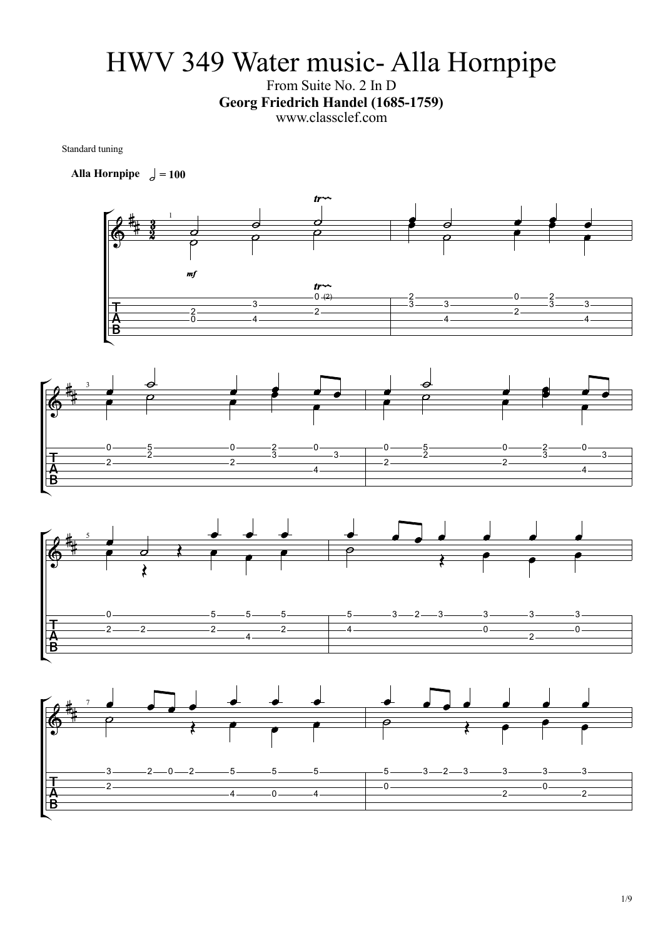## HWV 349 Water music- Alla Hornpipe

From Suite No. 2 In D **Georg Friedrich Handel (1685-1759)** www.classclef.com

Standard tuning

**Alla Hornpipe**  $\frac{1}{6} = 100$ 









1/9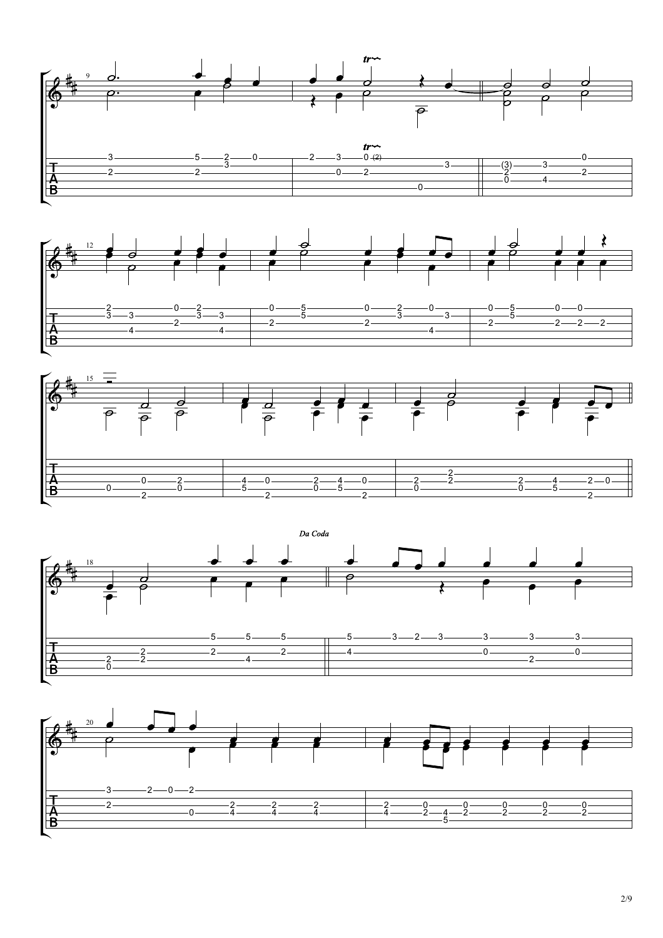







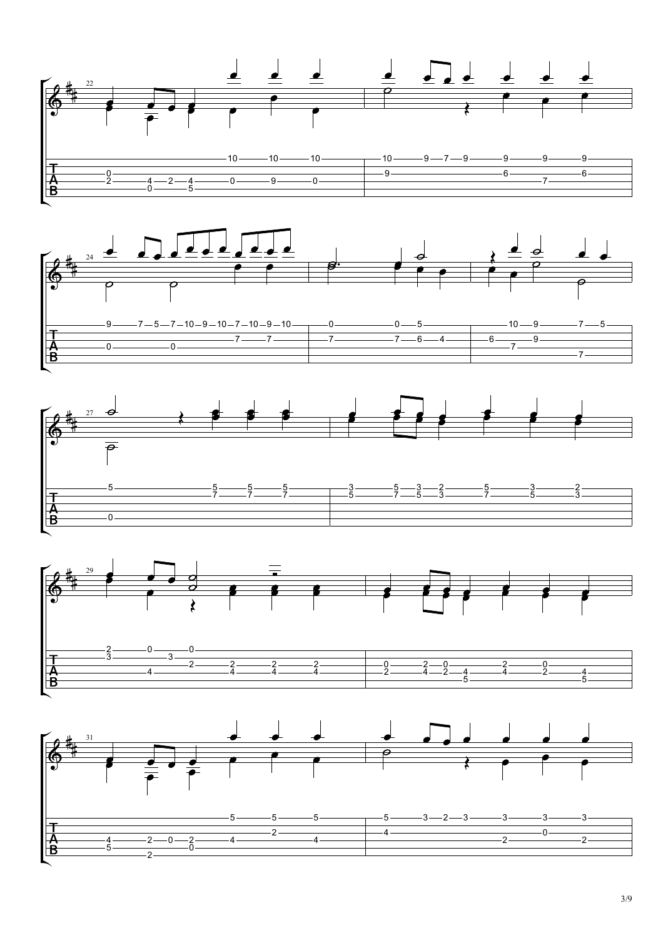







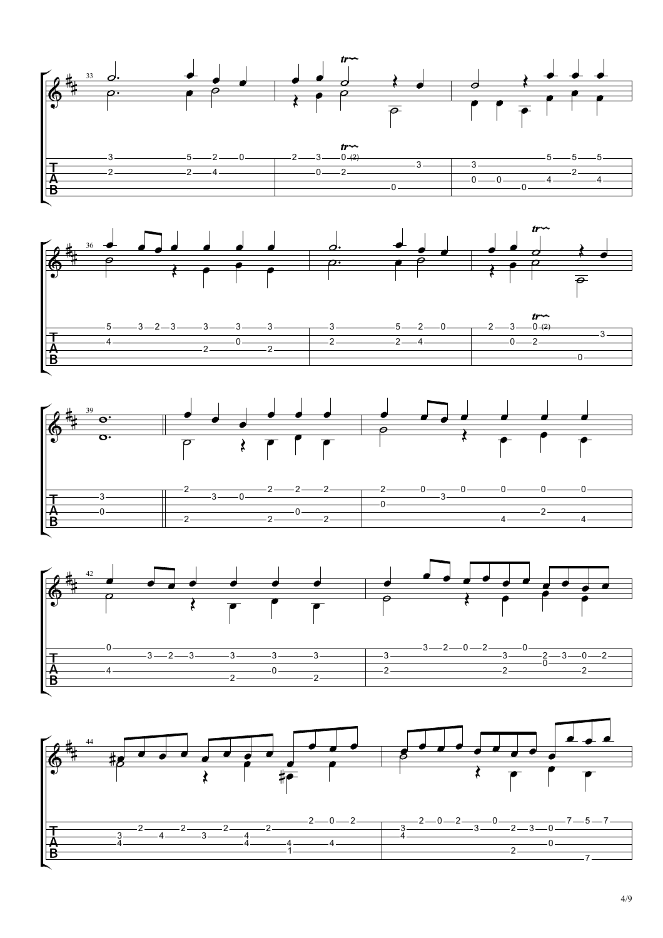







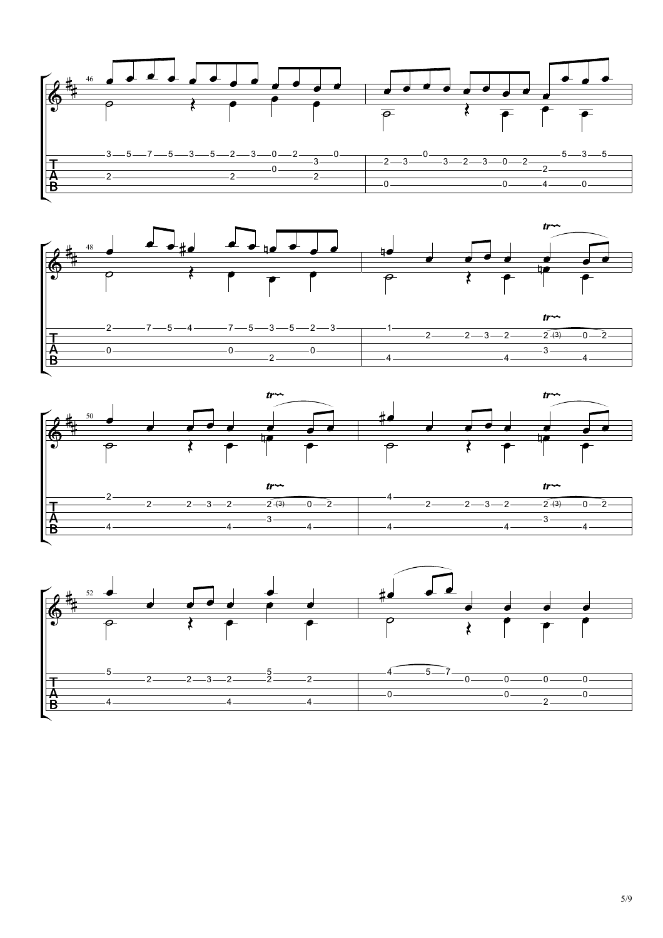





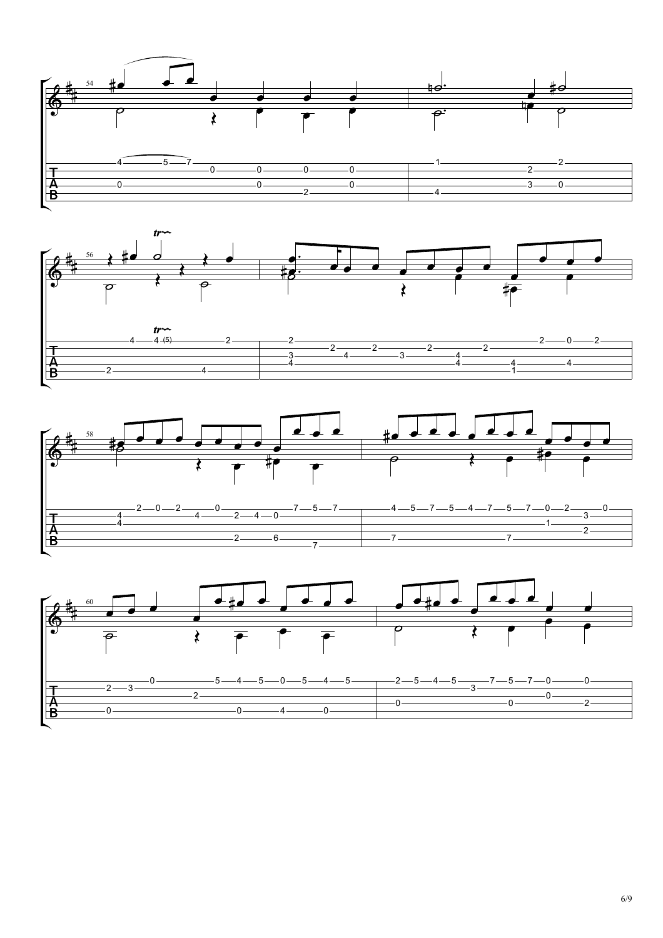





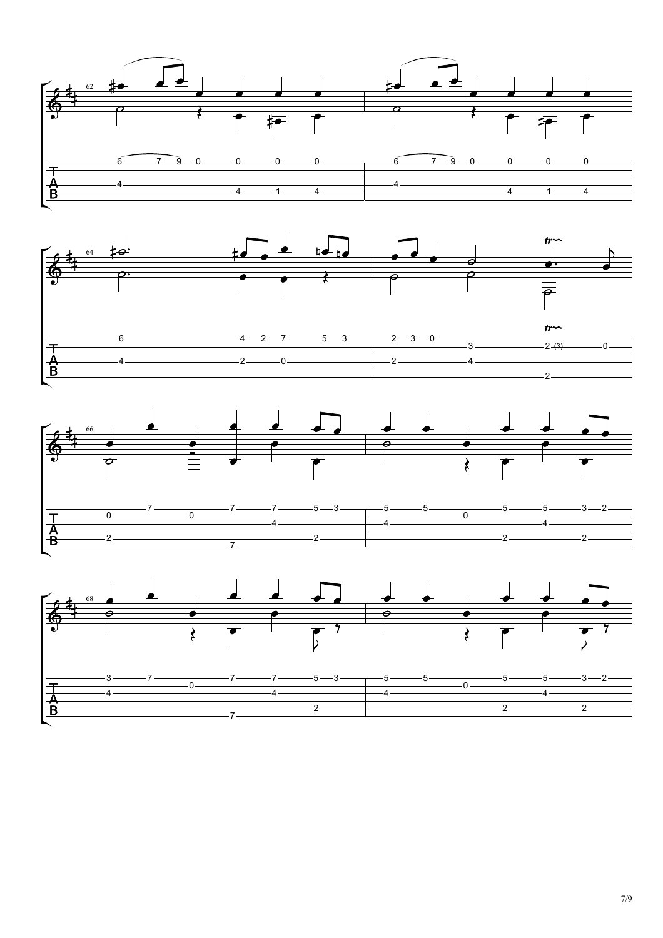





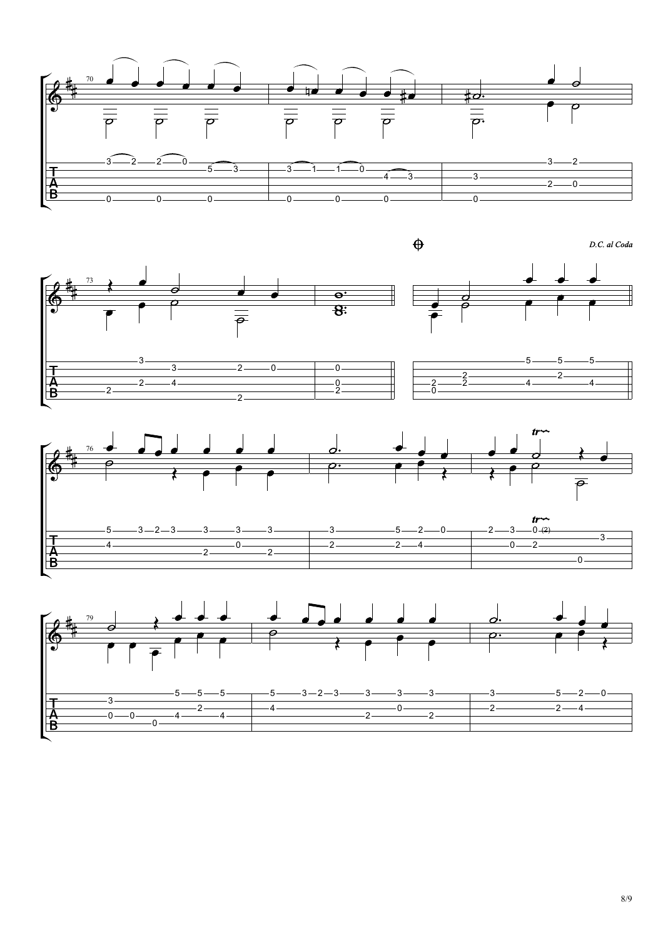